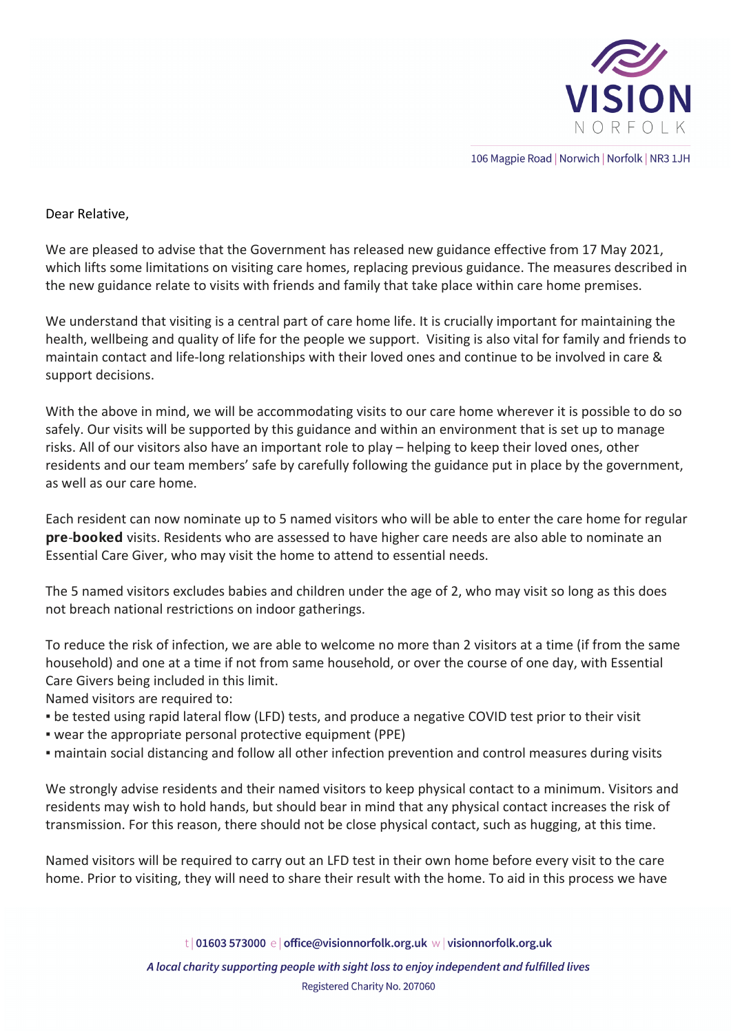

106 Magpie Road | Norwich | Norfolk | NR3 1JH

## Dear Relative,

We are pleased to advise that the Government has released new guidance effective from 17 May 2021, which lifts some limitations on visiting care homes, replacing previous guidance. The measures described in the new guidance relate to visits with friends and family that take place within care home premises.

We understand that visiting is a central part of care home life. It is crucially important for maintaining the health, wellbeing and quality of life for the people we support. Visiting is also vital for family and friends to maintain contact and life-long relationships with their loved ones and continue to be involved in care & support decisions.

With the above in mind, we will be accommodating visits to our care home wherever it is possible to do so safely. Our visits will be supported by this guidance and within an environment that is set up to manage risks. All of our visitors also have an important role to play – helping to keep their loved ones, other residents and our team members' safe by carefully following the guidance put in place by the government, as well as our care home.

Each resident can now nominate up to 5 named visitors who will be able to enter the care home for regular pre-booked visits. Residents who are assessed to have higher care needs are also able to nominate an Essential Care Giver, who may visit the home to attend to essential needs.

The 5 named visitors excludes babies and children under the age of 2, who may visit so long as this does not breach national restrictions on indoor gatherings.

To reduce the risk of infection, we are able to welcome no more than 2 visitors at a time (if from the same household) and one at a time if not from same household, or over the course of one day, with Essential Care Givers being included in this limit.

Named visitors are required to:

- be tested using rapid lateral flow (LFD) tests, and produce a negative COVID test prior to their visit
- wear the appropriate personal protective equipment (PPE)
- maintain social distancing and follow all other infection prevention and control measures during visits

We strongly advise residents and their named visitors to keep physical contact to a minimum. Visitors and residents may wish to hold hands, but should bear in mind that any physical contact increases the risk of transmission. For this reason, there should not be close physical contact, such as hugging, at this time.

Named visitors will be required to carry out an LFD test in their own home before every visit to the care home. Prior to visiting, they will need to share their result with the home. To aid in this process we have

t | 01603 573000 e | office@visionnorfolk.org.uk w | visionnorfolk.org.uk

A local charity supporting people with sight loss to enjoy independent and fulfilled lives Registered Charity No. 207060